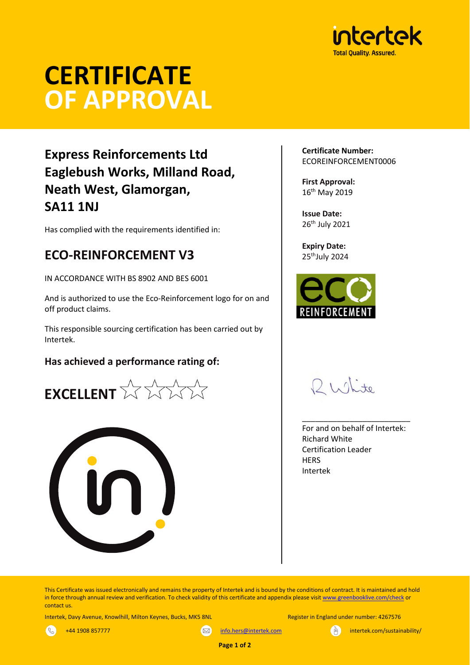

# **CERTIFICATE OF APPROVAL**

## **Express Reinforcements Ltd Eaglebush Works, Milland Road, Neath West, Glamorgan, SA11 1NJ**

Has complied with the requirements identified in:

## **ECO-REINFORCEMENT V3**

IN ACCORDANCE WITH BS 8902 AND BES 6001

And is authorized to use the Eco-Reinforcement logo for on and off product claims.

This responsible sourcing certification has been carried out by Intertek.

#### **Has achieved a performance rating of:**





**Certificate Number:** ECOREINFORCEMENT0006

**First Approval:** 16th May 2019

**Issue Date:** 26th July 2021

**Expiry Date:** 25<sup>th</sup>July 2024



 $D1.01 \pm 0$ 

For and on behalf of Intertek: Richard White Certification Leader **HERS** Intertek

\_\_\_\_\_\_\_\_\_\_\_\_\_\_\_\_\_\_\_\_\_\_\_\_\_

This Certificate was issued electronically and remains the property of Intertek and is bound by the conditions of contract. It is maintained and hold in force through annual review and verification. To check validity of this certificate and appendix please visi[t www.greenbooklive.com/check](http://www.greenbooklive.com/check) or contact us.

Intertek, Davy Avenue, Knowlhill, Milton Keynes, Bucks, MK5 8NL Register in England under number: 4267576

 $\mathbb{R}$ 



+44 1908 857777 **[info.hers@intertek.com](mailto:info.hers@intertek.com)** intertek.com intertek.com/sustainability/